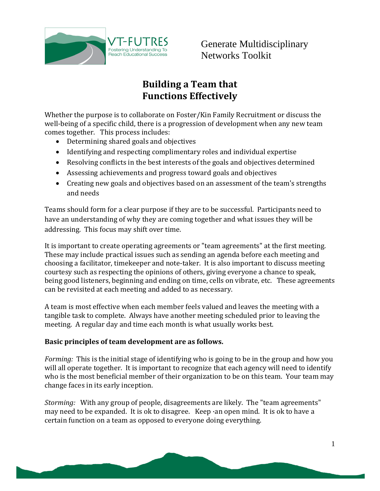

Generate Multidisciplinary Networks Toolkit

## **Building a Team that Functions Effectively**

Whether the purpose is to collaborate on Foster/Kin Family Recruitment or discuss the well-being of a specific child, there is a progression of development when any new team comes together. This process includes:

- Determining shared goals and objectives
- Identifying and respecting complimentary roles and individual expertise
- Resolving conflicts in the best interests of the goals and objectives determined
- Assessing achievements and progress toward goals and objectives
- Creating new goals and objectives based on an assessment of the team's strengths and needs

Teams should form for a clear purpose if they are to be successful. Participants need to have an understanding of why they are coming together and what issues they will be addressing. This focus may shift over time.

It is important to create operating agreements or "team agreements" at the first meeting. These may include practical issues such as sending an agenda before each meeting and choosing a facilitator, timekeeper and note-taker. It is also important to discuss meeting courtesy such as respecting the opinions of others, giving everyone a chance to speak, being good listeners, beginning and ending on time, cells on vibrate, etc. These agreements can be revisited at each meeting and added to as necessary.

A team is most effective when each member feels valued and leaves the meeting with a tangible task to complete. Always have another meeting scheduled prior to leaving the meeting. A regular day and time each month is what usually works best.

## **Basic principles of team development are as follows.**

*Forming:* This is the initial stage of identifying who is going to be in the group and how you will all operate together. It is important to recognize that each agency will need to identify who is the most beneficial member of their organization to be on this team. Your team may change faces in its early inception.

*Storming:* With any group of people, disagreements are likely. The "team agreements" may need to be expanded. It is ok to disagree. Keep ·an open mind. It is ok to have a certain function on a team as opposed to everyone doing everything.